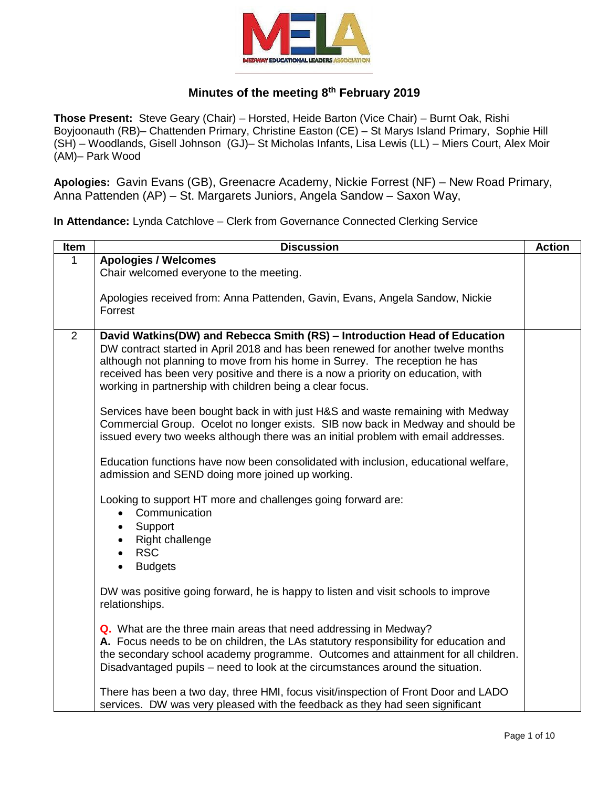

## **Minutes of the meeting 8th February 2019**

**Those Present:** Steve Geary (Chair) – Horsted, Heide Barton (Vice Chair) – Burnt Oak, Rishi Boyjoonauth (RB)– Chattenden Primary, Christine Easton (CE) – St Marys Island Primary, Sophie Hill (SH) – Woodlands, Gisell Johnson (GJ)– St Micholas Infants, Lisa Lewis (LL) – Miers Court, Alex Moir (AM)– Park Wood

**Apologies:** Gavin Evans (GB), Greenacre Academy, Nickie Forrest (NF) – New Road Primary, Anna Pattenden (AP) – St. Margarets Juniors, Angela Sandow – Saxon Way,

**In Attendance:** Lynda Catchlove – Clerk from Governance Connected Clerking Service

| Item | <b>Discussion</b>                                                                                   | <b>Action</b> |
|------|-----------------------------------------------------------------------------------------------------|---------------|
|      | <b>Apologies / Welcomes</b>                                                                         |               |
|      | Chair welcomed everyone to the meeting.                                                             |               |
|      |                                                                                                     |               |
|      | Apologies received from: Anna Pattenden, Gavin, Evans, Angela Sandow, Nickie                        |               |
|      | Forrest                                                                                             |               |
| 2    | David Watkins(DW) and Rebecca Smith (RS) - Introduction Head of Education                           |               |
|      | DW contract started in April 2018 and has been renewed for another twelve months                    |               |
|      | although not planning to move from his home in Surrey. The reception he has                         |               |
|      | received has been very positive and there is a now a priority on education, with                    |               |
|      | working in partnership with children being a clear focus.                                           |               |
|      |                                                                                                     |               |
|      | Services have been bought back in with just H&S and waste remaining with Medway                     |               |
|      | Commercial Group. Ocelot no longer exists. SIB now back in Medway and should be                     |               |
|      | issued every two weeks although there was an initial problem with email addresses.                  |               |
|      | Education functions have now been consolidated with inclusion, educational welfare,                 |               |
|      | admission and SEND doing more joined up working.                                                    |               |
|      |                                                                                                     |               |
|      | Looking to support HT more and challenges going forward are:                                        |               |
|      | Communication<br>$\bullet$                                                                          |               |
|      | Support                                                                                             |               |
|      | Right challenge                                                                                     |               |
|      | <b>RSC</b>                                                                                          |               |
|      | <b>Budgets</b>                                                                                      |               |
|      |                                                                                                     |               |
|      | DW was positive going forward, he is happy to listen and visit schools to improve<br>relationships. |               |
|      |                                                                                                     |               |
|      | Q. What are the three main areas that need addressing in Medway?                                    |               |
|      | A. Focus needs to be on children, the LAs statutory responsibility for education and                |               |
|      | the secondary school academy programme. Outcomes and attainment for all children.                   |               |
|      | Disadvantaged pupils – need to look at the circumstances around the situation.                      |               |
|      |                                                                                                     |               |
|      | There has been a two day, three HMI, focus visit/inspection of Front Door and LADO                  |               |
|      | services. DW was very pleased with the feedback as they had seen significant                        |               |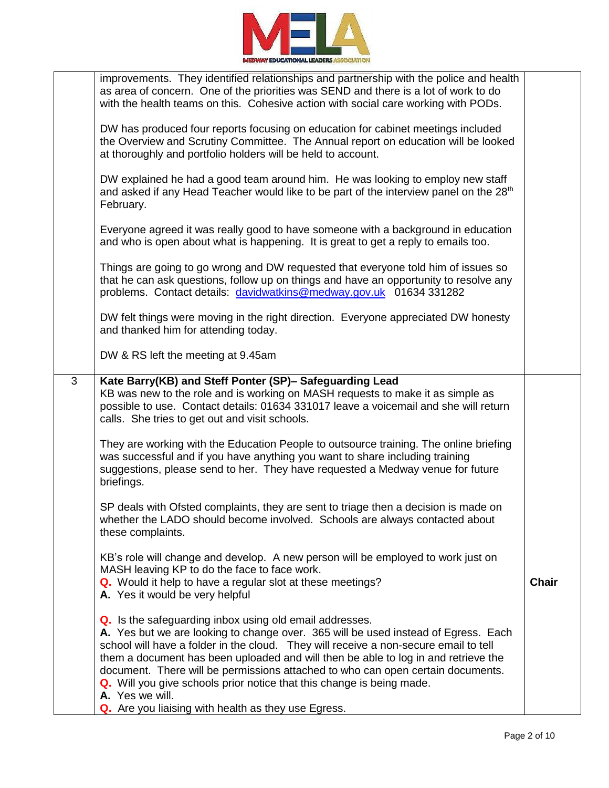

|   | improvements. They identified relationships and partnership with the police and health<br>as area of concern. One of the priorities was SEND and there is a lot of work to do<br>with the health teams on this. Cohesive action with social care working with PODs.                                                                                                                                                                                                                                                                                               |              |
|---|-------------------------------------------------------------------------------------------------------------------------------------------------------------------------------------------------------------------------------------------------------------------------------------------------------------------------------------------------------------------------------------------------------------------------------------------------------------------------------------------------------------------------------------------------------------------|--------------|
|   | DW has produced four reports focusing on education for cabinet meetings included<br>the Overview and Scrutiny Committee. The Annual report on education will be looked<br>at thoroughly and portfolio holders will be held to account.                                                                                                                                                                                                                                                                                                                            |              |
|   | DW explained he had a good team around him. He was looking to employ new staff<br>and asked if any Head Teacher would like to be part of the interview panel on the 28 <sup>th</sup><br>February.                                                                                                                                                                                                                                                                                                                                                                 |              |
|   | Everyone agreed it was really good to have someone with a background in education<br>and who is open about what is happening. It is great to get a reply to emails too.                                                                                                                                                                                                                                                                                                                                                                                           |              |
|   | Things are going to go wrong and DW requested that everyone told him of issues so<br>that he can ask questions, follow up on things and have an opportunity to resolve any<br>problems. Contact details: davidwatkins@medway.gov.uk 01634 331282                                                                                                                                                                                                                                                                                                                  |              |
|   | DW felt things were moving in the right direction. Everyone appreciated DW honesty<br>and thanked him for attending today.                                                                                                                                                                                                                                                                                                                                                                                                                                        |              |
|   | DW & RS left the meeting at 9.45am                                                                                                                                                                                                                                                                                                                                                                                                                                                                                                                                |              |
| 3 | Kate Barry(KB) and Steff Ponter (SP)- Safeguarding Lead<br>KB was new to the role and is working on MASH requests to make it as simple as<br>possible to use. Contact details: 01634 331017 leave a voicemail and she will return<br>calls. She tries to get out and visit schools.                                                                                                                                                                                                                                                                               |              |
|   | They are working with the Education People to outsource training. The online briefing<br>was successful and if you have anything you want to share including training<br>suggestions, please send to her. They have requested a Medway venue for future<br>briefings.                                                                                                                                                                                                                                                                                             |              |
|   | SP deals with Ofsted complaints, they are sent to triage then a decision is made on<br>whether the LADO should become involved. Schools are always contacted about<br>these complaints.                                                                                                                                                                                                                                                                                                                                                                           |              |
|   | KB's role will change and develop. A new person will be employed to work just on<br>MASH leaving KP to do the face to face work.<br>Q. Would it help to have a regular slot at these meetings?<br>A. Yes it would be very helpful                                                                                                                                                                                                                                                                                                                                 | <b>Chair</b> |
|   | Q. Is the safeguarding inbox using old email addresses.<br>A. Yes but we are looking to change over. 365 will be used instead of Egress. Each<br>school will have a folder in the cloud. They will receive a non-secure email to tell<br>them a document has been uploaded and will then be able to log in and retrieve the<br>document. There will be permissions attached to who can open certain documents.<br>Q. Will you give schools prior notice that this change is being made.<br>A. Yes we will.<br>Q. Are you liaising with health as they use Egress. |              |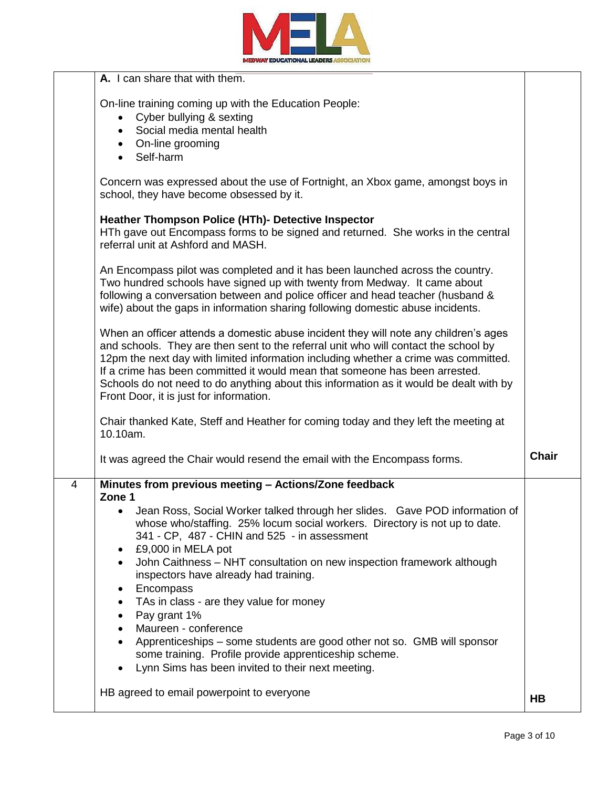

|   | <b>A.</b> I can share that with them.                                                                                                                                                                                                                                                                                                                                                                                                                                                  |              |
|---|----------------------------------------------------------------------------------------------------------------------------------------------------------------------------------------------------------------------------------------------------------------------------------------------------------------------------------------------------------------------------------------------------------------------------------------------------------------------------------------|--------------|
|   | On-line training coming up with the Education People:<br>Cyber bullying & sexting<br>Social media mental health                                                                                                                                                                                                                                                                                                                                                                        |              |
|   | On-line grooming<br>Self-harm<br>$\bullet$                                                                                                                                                                                                                                                                                                                                                                                                                                             |              |
|   | Concern was expressed about the use of Fortnight, an Xbox game, amongst boys in<br>school, they have become obsessed by it.                                                                                                                                                                                                                                                                                                                                                            |              |
|   | <b>Heather Thompson Police (HTh)- Detective Inspector</b><br>HTh gave out Encompass forms to be signed and returned. She works in the central<br>referral unit at Ashford and MASH.                                                                                                                                                                                                                                                                                                    |              |
|   | An Encompass pilot was completed and it has been launched across the country.<br>Two hundred schools have signed up with twenty from Medway. It came about<br>following a conversation between and police officer and head teacher (husband &<br>wife) about the gaps in information sharing following domestic abuse incidents.                                                                                                                                                       |              |
|   | When an officer attends a domestic abuse incident they will note any children's ages<br>and schools. They are then sent to the referral unit who will contact the school by<br>12pm the next day with limited information including whether a crime was committed.<br>If a crime has been committed it would mean that someone has been arrested.<br>Schools do not need to do anything about this information as it would be dealt with by<br>Front Door, it is just for information. |              |
|   | Chair thanked Kate, Steff and Heather for coming today and they left the meeting at<br>10.10am.                                                                                                                                                                                                                                                                                                                                                                                        |              |
|   | It was agreed the Chair would resend the email with the Encompass forms.                                                                                                                                                                                                                                                                                                                                                                                                               | <b>Chair</b> |
| 4 | Minutes from previous meeting - Actions/Zone feedback<br>Zone 1                                                                                                                                                                                                                                                                                                                                                                                                                        |              |
|   | Jean Ross, Social Worker talked through her slides. Gave POD information of<br>whose who/staffing. 25% locum social workers. Directory is not up to date.<br>341 - CP, 487 - CHIN and 525 - in assessment<br>£9,000 in MELA pot<br>$\bullet$                                                                                                                                                                                                                                           |              |
|   | John Caithness - NHT consultation on new inspection framework although<br>$\bullet$<br>inspectors have already had training.<br>Encompass                                                                                                                                                                                                                                                                                                                                              |              |
|   | TAs in class - are they value for money<br>$\bullet$<br>Pay grant 1%<br>Maureen - conference                                                                                                                                                                                                                                                                                                                                                                                           |              |
|   | Apprenticeships – some students are good other not so. GMB will sponsor<br>$\bullet$<br>some training. Profile provide apprenticeship scheme.<br>Lynn Sims has been invited to their next meeting.                                                                                                                                                                                                                                                                                     |              |
|   | HB agreed to email powerpoint to everyone                                                                                                                                                                                                                                                                                                                                                                                                                                              | <b>HB</b>    |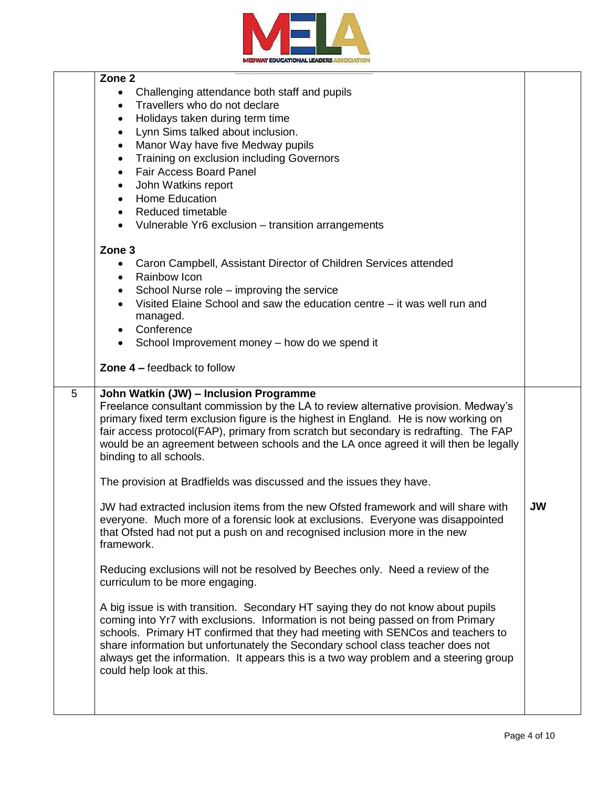

|   | Zone <sub>2</sub>                                                                                                                                                                                                                                                                                                                                                                                                                                                |           |
|---|------------------------------------------------------------------------------------------------------------------------------------------------------------------------------------------------------------------------------------------------------------------------------------------------------------------------------------------------------------------------------------------------------------------------------------------------------------------|-----------|
|   | Challenging attendance both staff and pupils                                                                                                                                                                                                                                                                                                                                                                                                                     |           |
|   | Travellers who do not declare<br>$\bullet$                                                                                                                                                                                                                                                                                                                                                                                                                       |           |
|   | Holidays taken during term time<br>$\bullet$                                                                                                                                                                                                                                                                                                                                                                                                                     |           |
|   | Lynn Sims talked about inclusion.<br>$\bullet$                                                                                                                                                                                                                                                                                                                                                                                                                   |           |
|   | Manor Way have five Medway pupils<br>$\bullet$                                                                                                                                                                                                                                                                                                                                                                                                                   |           |
|   | Training on exclusion including Governors<br>$\bullet$                                                                                                                                                                                                                                                                                                                                                                                                           |           |
|   | <b>Fair Access Board Panel</b><br>$\bullet$                                                                                                                                                                                                                                                                                                                                                                                                                      |           |
|   | John Watkins report<br>$\bullet$                                                                                                                                                                                                                                                                                                                                                                                                                                 |           |
|   | <b>Home Education</b><br>$\bullet$                                                                                                                                                                                                                                                                                                                                                                                                                               |           |
|   | <b>Reduced timetable</b>                                                                                                                                                                                                                                                                                                                                                                                                                                         |           |
|   |                                                                                                                                                                                                                                                                                                                                                                                                                                                                  |           |
|   | Vulnerable Yr6 exclusion – transition arrangements<br>$\bullet$                                                                                                                                                                                                                                                                                                                                                                                                  |           |
|   | Zone 3                                                                                                                                                                                                                                                                                                                                                                                                                                                           |           |
|   | Caron Campbell, Assistant Director of Children Services attended<br>٠                                                                                                                                                                                                                                                                                                                                                                                            |           |
|   | Rainbow Icon<br>٠                                                                                                                                                                                                                                                                                                                                                                                                                                                |           |
|   | School Nurse role – improving the service<br>$\bullet$                                                                                                                                                                                                                                                                                                                                                                                                           |           |
|   | Visited Elaine School and saw the education centre – it was well run and<br>$\bullet$                                                                                                                                                                                                                                                                                                                                                                            |           |
|   | managed.                                                                                                                                                                                                                                                                                                                                                                                                                                                         |           |
|   | Conference                                                                                                                                                                                                                                                                                                                                                                                                                                                       |           |
|   |                                                                                                                                                                                                                                                                                                                                                                                                                                                                  |           |
|   | School Improvement money - how do we spend it<br>$\bullet$                                                                                                                                                                                                                                                                                                                                                                                                       |           |
|   | <b>Zone 4 – feedback to follow</b>                                                                                                                                                                                                                                                                                                                                                                                                                               |           |
|   |                                                                                                                                                                                                                                                                                                                                                                                                                                                                  |           |
| 5 | John Watkin (JW) - Inclusion Programme<br>Freelance consultant commission by the LA to review alternative provision. Medway's<br>primary fixed term exclusion figure is the highest in England. He is now working on<br>fair access protocol(FAP), primary from scratch but secondary is redrafting. The FAP<br>would be an agreement between schools and the LA once agreed it will then be legally<br>binding to all schools.                                  |           |
|   | The provision at Bradfields was discussed and the issues they have.                                                                                                                                                                                                                                                                                                                                                                                              |           |
|   | JW had extracted inclusion items from the new Ofsted framework and will share with<br>everyone. Much more of a forensic look at exclusions. Everyone was disappointed<br>that Ofsted had not put a push on and recognised inclusion more in the new<br>framework.                                                                                                                                                                                                | <b>JW</b> |
|   | Reducing exclusions will not be resolved by Beeches only. Need a review of the<br>curriculum to be more engaging.                                                                                                                                                                                                                                                                                                                                                |           |
|   | A big issue is with transition. Secondary HT saying they do not know about pupils<br>coming into Yr7 with exclusions. Information is not being passed on from Primary<br>schools. Primary HT confirmed that they had meeting with SENCos and teachers to<br>share information but unfortunately the Secondary school class teacher does not<br>always get the information. It appears this is a two way problem and a steering group<br>could help look at this. |           |
|   |                                                                                                                                                                                                                                                                                                                                                                                                                                                                  |           |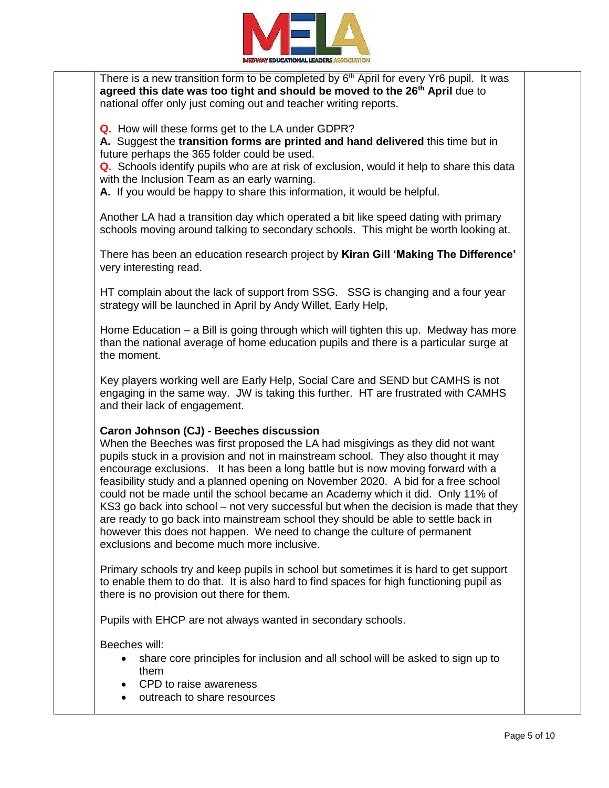

There is a new transition form to be completed by  $6<sup>th</sup>$  April for every Yr6 pupil. It was **agreed this date was too tight and should be moved to the 26th April** due to national offer only just coming out and teacher writing reports.

**Q.** How will these forms get to the LA under GDPR?

**A.** Suggest the **transition forms are printed and hand delivered** this time but in future perhaps the 365 folder could be used.

**Q.** Schools identify pupils who are at risk of exclusion, would it help to share this data with the Inclusion Team as an early warning.

**A.** If you would be happy to share this information, it would be helpful.

Another LA had a transition day which operated a bit like speed dating with primary schools moving around talking to secondary schools. This might be worth looking at.

There has been an education research project by **Kiran Gill 'Making The Difference'** very interesting read.

HT complain about the lack of support from SSG. SSG is changing and a four year strategy will be launched in April by Andy Willet, Early Help,

Home Education – a Bill is going through which will tighten this up. Medway has more than the national average of home education pupils and there is a particular surge at the moment.

Key players working well are Early Help, Social Care and SEND but CAMHS is not engaging in the same way. JW is taking this further. HT are frustrated with CAMHS and their lack of engagement.

## **Caron Johnson (CJ) - Beeches discussion**

When the Beeches was first proposed the LA had misgivings as they did not want pupils stuck in a provision and not in mainstream school. They also thought it may encourage exclusions. It has been a long battle but is now moving forward with a feasibility study and a planned opening on November 2020. A bid for a free school could not be made until the school became an Academy which it did. Only 11% of KS3 go back into school – not very successful but when the decision is made that they are ready to go back into mainstream school they should be able to settle back in however this does not happen. We need to change the culture of permanent exclusions and become much more inclusive.

Primary schools try and keep pupils in school but sometimes it is hard to get support to enable them to do that. It is also hard to find spaces for high functioning pupil as there is no provision out there for them.

Pupils with EHCP are not always wanted in secondary schools.

Beeches will:

- share core principles for inclusion and all school will be asked to sign up to them
- CPD to raise awareness
- outreach to share resources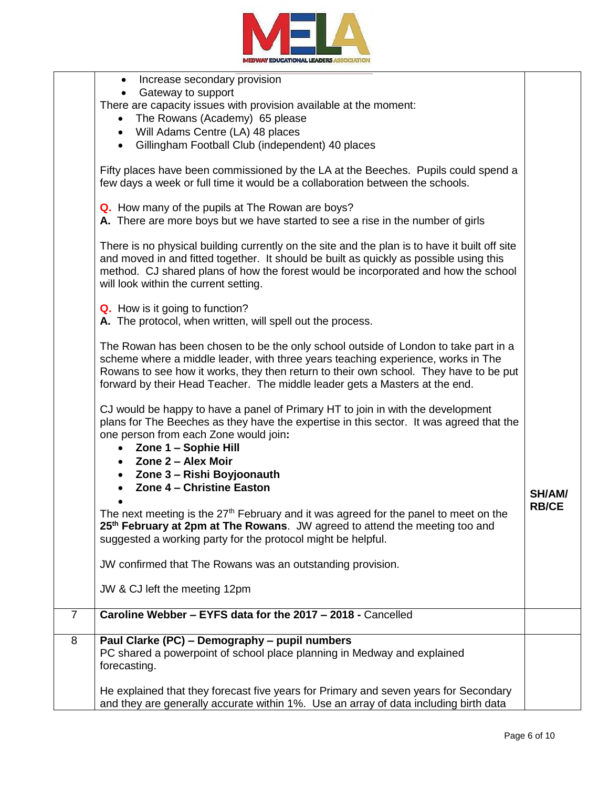

|                | Increase secondary provision<br>$\bullet$                                                                                                                                                                                                                                                                                                                                                                                                                                                                                                                                                                                                                                                                                     |                        |
|----------------|-------------------------------------------------------------------------------------------------------------------------------------------------------------------------------------------------------------------------------------------------------------------------------------------------------------------------------------------------------------------------------------------------------------------------------------------------------------------------------------------------------------------------------------------------------------------------------------------------------------------------------------------------------------------------------------------------------------------------------|------------------------|
|                | Gateway to support                                                                                                                                                                                                                                                                                                                                                                                                                                                                                                                                                                                                                                                                                                            |                        |
|                | There are capacity issues with provision available at the moment:                                                                                                                                                                                                                                                                                                                                                                                                                                                                                                                                                                                                                                                             |                        |
|                | The Rowans (Academy) 65 please<br>$\bullet$                                                                                                                                                                                                                                                                                                                                                                                                                                                                                                                                                                                                                                                                                   |                        |
|                | Will Adams Centre (LA) 48 places<br>$\bullet$                                                                                                                                                                                                                                                                                                                                                                                                                                                                                                                                                                                                                                                                                 |                        |
|                | Gillingham Football Club (independent) 40 places<br>$\bullet$                                                                                                                                                                                                                                                                                                                                                                                                                                                                                                                                                                                                                                                                 |                        |
|                |                                                                                                                                                                                                                                                                                                                                                                                                                                                                                                                                                                                                                                                                                                                               |                        |
|                | Fifty places have been commissioned by the LA at the Beeches. Pupils could spend a<br>few days a week or full time it would be a collaboration between the schools.                                                                                                                                                                                                                                                                                                                                                                                                                                                                                                                                                           |                        |
|                |                                                                                                                                                                                                                                                                                                                                                                                                                                                                                                                                                                                                                                                                                                                               |                        |
|                | Q. How many of the pupils at The Rowan are boys?                                                                                                                                                                                                                                                                                                                                                                                                                                                                                                                                                                                                                                                                              |                        |
|                | A. There are more boys but we have started to see a rise in the number of girls                                                                                                                                                                                                                                                                                                                                                                                                                                                                                                                                                                                                                                               |                        |
|                |                                                                                                                                                                                                                                                                                                                                                                                                                                                                                                                                                                                                                                                                                                                               |                        |
|                | There is no physical building currently on the site and the plan is to have it built off site<br>and moved in and fitted together. It should be built as quickly as possible using this<br>method. CJ shared plans of how the forest would be incorporated and how the school<br>will look within the current setting.                                                                                                                                                                                                                                                                                                                                                                                                        |                        |
|                |                                                                                                                                                                                                                                                                                                                                                                                                                                                                                                                                                                                                                                                                                                                               |                        |
|                | <b>Q.</b> How is it going to function?                                                                                                                                                                                                                                                                                                                                                                                                                                                                                                                                                                                                                                                                                        |                        |
|                | A. The protocol, when written, will spell out the process.                                                                                                                                                                                                                                                                                                                                                                                                                                                                                                                                                                                                                                                                    |                        |
|                | The Rowan has been chosen to be the only school outside of London to take part in a<br>scheme where a middle leader, with three years teaching experience, works in The<br>Rowans to see how it works, they then return to their own school. They have to be put<br>forward by their Head Teacher. The middle leader gets a Masters at the end.                                                                                                                                                                                                                                                                                                                                                                               |                        |
|                | CJ would be happy to have a panel of Primary HT to join in with the development<br>plans for The Beeches as they have the expertise in this sector. It was agreed that the<br>one person from each Zone would join:<br>Zone 1 - Sophie Hill<br>$\bullet$<br><b>Zone 2 – Alex Moir</b><br>$\bullet$<br>• Zone 3 - Rishi Boyjoonauth<br>Zone 4 - Christine Easton<br>The next meeting is the 27 <sup>th</sup> February and it was agreed for the panel to meet on the<br>25 <sup>th</sup> February at 2pm at The Rowans. JW agreed to attend the meeting too and<br>suggested a working party for the protocol might be helpful.<br>JW confirmed that The Rowans was an outstanding provision.<br>JW & CJ left the meeting 12pm | SH/AM/<br><b>RB/CE</b> |
|                | Caroline Webber - EYFS data for the 2017 - 2018 - Cancelled                                                                                                                                                                                                                                                                                                                                                                                                                                                                                                                                                                                                                                                                   |                        |
| $\overline{7}$ |                                                                                                                                                                                                                                                                                                                                                                                                                                                                                                                                                                                                                                                                                                                               |                        |
| 8              | Paul Clarke (PC) - Demography - pupil numbers                                                                                                                                                                                                                                                                                                                                                                                                                                                                                                                                                                                                                                                                                 |                        |
|                | PC shared a powerpoint of school place planning in Medway and explained<br>forecasting.                                                                                                                                                                                                                                                                                                                                                                                                                                                                                                                                                                                                                                       |                        |
|                | He explained that they forecast five years for Primary and seven years for Secondary<br>and they are generally accurate within 1%. Use an array of data including birth data                                                                                                                                                                                                                                                                                                                                                                                                                                                                                                                                                  |                        |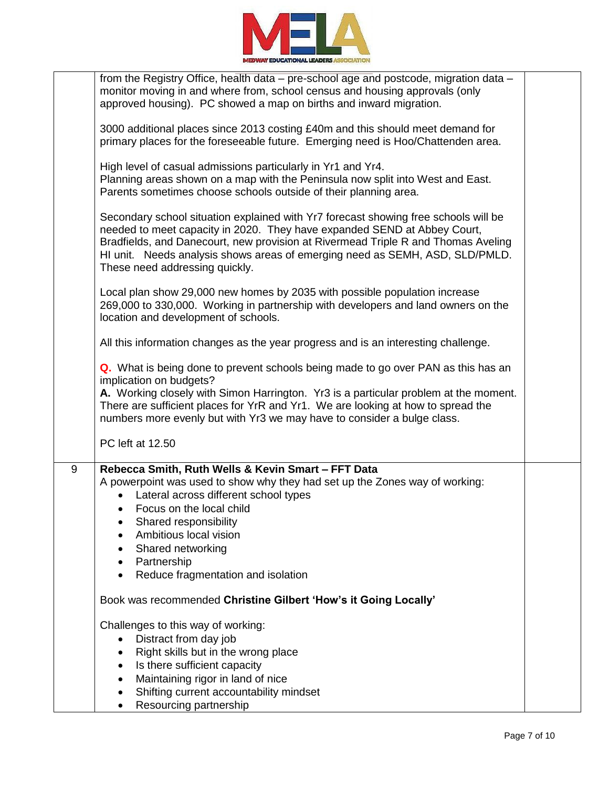

|   | from the Registry Office, health data – pre-school age and postcode, migration data –<br>monitor moving in and where from, school census and housing approvals (only<br>approved housing). PC showed a map on births and inward migration.                                                                                                                                                        |  |
|---|---------------------------------------------------------------------------------------------------------------------------------------------------------------------------------------------------------------------------------------------------------------------------------------------------------------------------------------------------------------------------------------------------|--|
|   | 3000 additional places since 2013 costing £40m and this should meet demand for<br>primary places for the foreseeable future. Emerging need is Hoo/Chattenden area.                                                                                                                                                                                                                                |  |
|   | High level of casual admissions particularly in Yr1 and Yr4.<br>Planning areas shown on a map with the Peninsula now split into West and East.<br>Parents sometimes choose schools outside of their planning area.                                                                                                                                                                                |  |
|   | Secondary school situation explained with Yr7 forecast showing free schools will be<br>needed to meet capacity in 2020. They have expanded SEND at Abbey Court,<br>Bradfields, and Danecourt, new provision at Rivermead Triple R and Thomas Aveling<br>HI unit. Needs analysis shows areas of emerging need as SEMH, ASD, SLD/PMLD.<br>These need addressing quickly.                            |  |
|   | Local plan show 29,000 new homes by 2035 with possible population increase<br>269,000 to 330,000. Working in partnership with developers and land owners on the<br>location and development of schools.                                                                                                                                                                                           |  |
|   | All this information changes as the year progress and is an interesting challenge.                                                                                                                                                                                                                                                                                                                |  |
|   | <b>Q.</b> What is being done to prevent schools being made to go over PAN as this has an<br>implication on budgets?<br>A. Working closely with Simon Harrington. Yr3 is a particular problem at the moment.<br>There are sufficient places for YrR and Yr1. We are looking at how to spread the<br>numbers more evenly but with Yr3 we may have to consider a bulge class.                        |  |
|   | PC left at 12.50                                                                                                                                                                                                                                                                                                                                                                                  |  |
| 9 | Rebecca Smith, Ruth Wells & Kevin Smart - FFT Data<br>A powerpoint was used to show why they had set up the Zones way of working:<br>Lateral across different school types<br>$\bullet$<br>$\bullet$ Focus on the local child<br>Shared responsibility<br>Ambitious local vision<br>Shared networking<br>$\bullet$<br>Partnership<br>$\bullet$<br>Reduce fragmentation and isolation<br>$\bullet$ |  |
|   | Book was recommended Christine Gilbert 'How's it Going Locally'                                                                                                                                                                                                                                                                                                                                   |  |
|   | Challenges to this way of working:<br>Distract from day job<br>Right skills but in the wrong place<br>$\bullet$<br>Is there sufficient capacity<br>$\bullet$<br>Maintaining rigor in land of nice<br>Shifting current accountability mindset                                                                                                                                                      |  |
|   | Resourcing partnership                                                                                                                                                                                                                                                                                                                                                                            |  |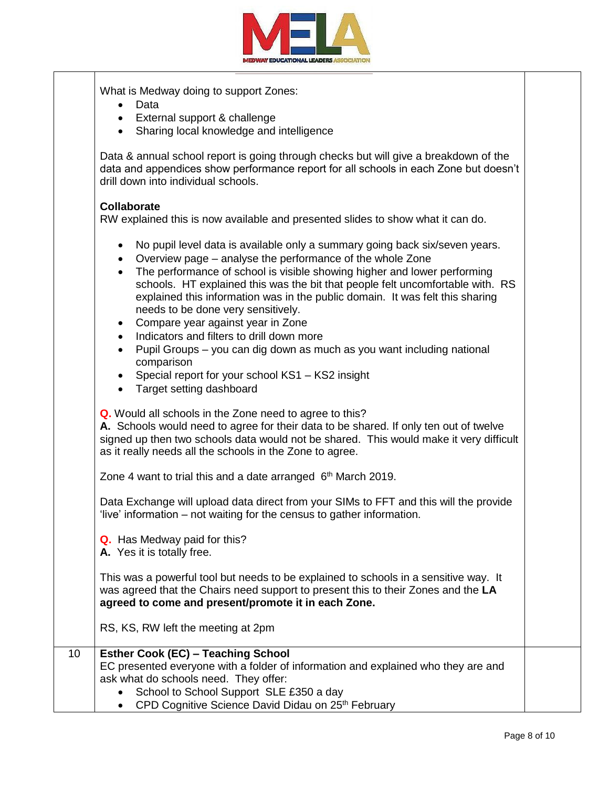

|    | What is Medway doing to support Zones:<br>Data<br>$\bullet$<br>External support & challenge<br>$\bullet$<br>Sharing local knowledge and intelligence<br>$\bullet$                                                                                                                                                                                                                                                                                                                                                                                                                                                                                                                                                                                                                       |  |
|----|-----------------------------------------------------------------------------------------------------------------------------------------------------------------------------------------------------------------------------------------------------------------------------------------------------------------------------------------------------------------------------------------------------------------------------------------------------------------------------------------------------------------------------------------------------------------------------------------------------------------------------------------------------------------------------------------------------------------------------------------------------------------------------------------|--|
|    | Data & annual school report is going through checks but will give a breakdown of the<br>data and appendices show performance report for all schools in each Zone but doesn't<br>drill down into individual schools.                                                                                                                                                                                                                                                                                                                                                                                                                                                                                                                                                                     |  |
|    | <b>Collaborate</b><br>RW explained this is now available and presented slides to show what it can do.                                                                                                                                                                                                                                                                                                                                                                                                                                                                                                                                                                                                                                                                                   |  |
|    | No pupil level data is available only a summary going back six/seven years.<br>$\bullet$<br>Overview page – analyse the performance of the whole Zone<br>$\bullet$<br>The performance of school is visible showing higher and lower performing<br>$\bullet$<br>schools. HT explained this was the bit that people felt uncomfortable with. RS<br>explained this information was in the public domain. It was felt this sharing<br>needs to be done very sensitively.<br>Compare year against year in Zone<br>$\bullet$<br>Indicators and filters to drill down more<br>$\bullet$<br>Pupil Groups - you can dig down as much as you want including national<br>$\bullet$<br>comparison<br>Special report for your school KS1 - KS2 insight<br>٠<br>Target setting dashboard<br>$\bullet$ |  |
|    | Q. Would all schools in the Zone need to agree to this?<br>A. Schools would need to agree for their data to be shared. If only ten out of twelve<br>signed up then two schools data would not be shared. This would make it very difficult<br>as it really needs all the schools in the Zone to agree.                                                                                                                                                                                                                                                                                                                                                                                                                                                                                  |  |
|    | Zone 4 want to trial this and a date arranged 6 <sup>th</sup> March 2019.                                                                                                                                                                                                                                                                                                                                                                                                                                                                                                                                                                                                                                                                                                               |  |
|    | Data Exchange will upload data direct from your SIMs to FFT and this will the provide<br>'live' information – not waiting for the census to gather information.                                                                                                                                                                                                                                                                                                                                                                                                                                                                                                                                                                                                                         |  |
|    | Q. Has Medway paid for this?<br>A. Yes it is totally free.                                                                                                                                                                                                                                                                                                                                                                                                                                                                                                                                                                                                                                                                                                                              |  |
|    | This was a powerful tool but needs to be explained to schools in a sensitive way. It<br>was agreed that the Chairs need support to present this to their Zones and the LA<br>agreed to come and present/promote it in each Zone.                                                                                                                                                                                                                                                                                                                                                                                                                                                                                                                                                        |  |
|    | RS, KS, RW left the meeting at 2pm                                                                                                                                                                                                                                                                                                                                                                                                                                                                                                                                                                                                                                                                                                                                                      |  |
| 10 | <b>Esther Cook (EC) - Teaching School</b><br>EC presented everyone with a folder of information and explained who they are and<br>ask what do schools need. They offer:<br>School to School Support SLE £350 a day<br>CPD Cognitive Science David Didau on 25th February                                                                                                                                                                                                                                                                                                                                                                                                                                                                                                                |  |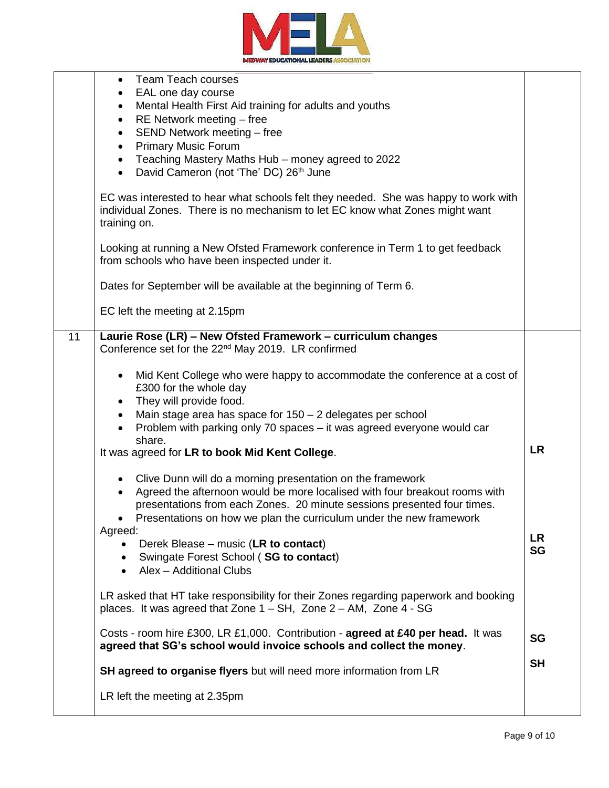

|    | <b>Team Teach courses</b><br>$\bullet$<br>EAL one day course<br>$\bullet$<br>Mental Health First Aid training for adults and youths<br>$\bullet$<br>RE Network meeting - free<br>$\bullet$<br>SEND Network meeting - free<br>$\bullet$<br><b>Primary Music Forum</b><br>$\bullet$<br>Teaching Mastery Maths Hub - money agreed to 2022<br>$\bullet$<br>David Cameron (not 'The' DC) 26th June<br>$\bullet$<br>EC was interested to hear what schools felt they needed. She was happy to work with |                 |
|----|---------------------------------------------------------------------------------------------------------------------------------------------------------------------------------------------------------------------------------------------------------------------------------------------------------------------------------------------------------------------------------------------------------------------------------------------------------------------------------------------------|-----------------|
|    | individual Zones. There is no mechanism to let EC know what Zones might want<br>training on.                                                                                                                                                                                                                                                                                                                                                                                                      |                 |
|    | Looking at running a New Ofsted Framework conference in Term 1 to get feedback<br>from schools who have been inspected under it.                                                                                                                                                                                                                                                                                                                                                                  |                 |
|    | Dates for September will be available at the beginning of Term 6.<br>EC left the meeting at 2.15pm                                                                                                                                                                                                                                                                                                                                                                                                |                 |
|    |                                                                                                                                                                                                                                                                                                                                                                                                                                                                                                   |                 |
| 11 | Laurie Rose (LR) - New Ofsted Framework - curriculum changes<br>Conference set for the 22 <sup>nd</sup> May 2019. LR confirmed                                                                                                                                                                                                                                                                                                                                                                    |                 |
|    | Mid Kent College who were happy to accommodate the conference at a cost of<br>$\bullet$<br>£300 for the whole day<br>They will provide food.<br>$\bullet$<br>Main stage area has space for $150 - 2$ delegates per school<br>$\bullet$<br>Problem with parking only 70 spaces – it was agreed everyone would car                                                                                                                                                                                  |                 |
|    | share.<br>It was agreed for LR to book Mid Kent College.                                                                                                                                                                                                                                                                                                                                                                                                                                          | <b>LR</b>       |
|    | • Clive Dunn will do a morning presentation on the framework<br>Agreed the afternoon would be more localised with four breakout rooms with<br>$\bullet$<br>presentations from each Zones. 20 minute sessions presented four times.<br>Presentations on how we plan the curriculum under the new framework                                                                                                                                                                                         |                 |
|    | Agreed:<br>Derek Blease – music (LR to contact)<br>• Swingate Forest School (SG to contact)<br>• Alex - Additional Clubs                                                                                                                                                                                                                                                                                                                                                                          | LR<br><b>SG</b> |
|    | LR asked that HT take responsibility for their Zones regarding paperwork and booking<br>places. It was agreed that Zone 1 - SH, Zone 2 - AM, Zone 4 - SG                                                                                                                                                                                                                                                                                                                                          |                 |
|    | Costs - room hire £300, LR £1,000. Contribution - agreed at £40 per head. It was<br>agreed that SG's school would invoice schools and collect the money.                                                                                                                                                                                                                                                                                                                                          | <b>SG</b>       |
|    | SH agreed to organise flyers but will need more information from LR                                                                                                                                                                                                                                                                                                                                                                                                                               | <b>SH</b>       |
|    | LR left the meeting at 2.35pm                                                                                                                                                                                                                                                                                                                                                                                                                                                                     |                 |